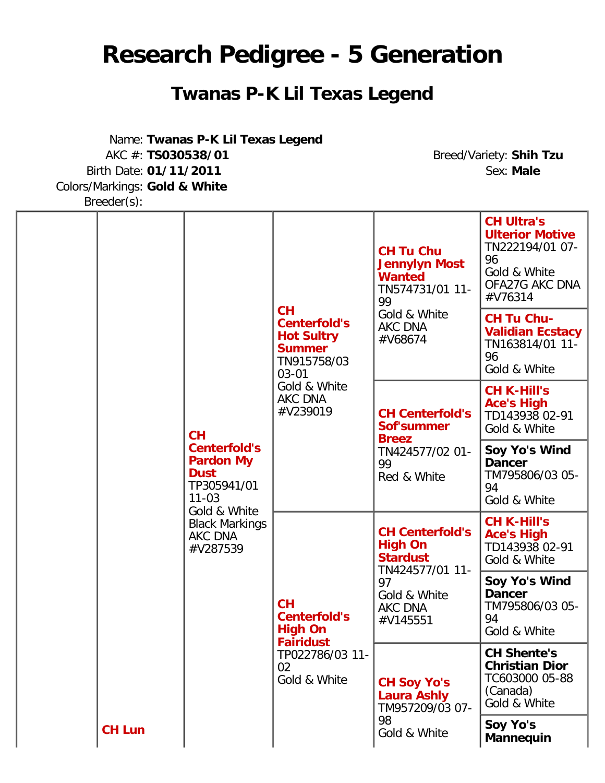## **Research Pedigree - 5 Generation**

## **Twanas P-K Lil Texas Legend**

Name: **Twanas P-K Lil Texas Legend** AKC #: **TS030538/01** Breed/Variety: **Shih Tzu** Birth Date: 01/11/2011 Colors/Markings: **Gold & White**

Breeder(s):

|  |               | <b>CH</b><br><b>Centerfold's</b><br><b>Pardon My</b><br><b>Dust</b><br>TP305941/01<br>$11 - 03$<br>Gold & White<br><b>Black Markings</b><br>AKC DNA<br>#V287539 | <b>CH</b><br><b>Centerfold's</b><br><b>Hot Sultry</b><br><b>Summer</b><br>TN915758/03<br>$03 - 01$<br>Gold & White<br>AKC DNA<br>#V239019 | <b>CH Tu Chu</b><br><b>Jennylyn Most</b><br><b>Wanted</b><br>TN574731/01 11-<br>99<br>Gold & White<br><b>AKC DNA</b><br>#V68674 | <b>CH Ultra's</b><br><b>Ulterior Motive</b><br>TN222194/01 07-<br>96<br>Gold & White<br>OFA27G AKC DNA<br>#V76314 |
|--|---------------|-----------------------------------------------------------------------------------------------------------------------------------------------------------------|-------------------------------------------------------------------------------------------------------------------------------------------|---------------------------------------------------------------------------------------------------------------------------------|-------------------------------------------------------------------------------------------------------------------|
|  |               |                                                                                                                                                                 |                                                                                                                                           |                                                                                                                                 | <b>CH Tu Chu-</b><br><b>Validian Ecstacy</b><br>TN163814/01 11-<br>96<br>Gold & White                             |
|  |               |                                                                                                                                                                 |                                                                                                                                           | <b>CH Centerfold's</b><br>Sof'summer<br><b>Breez</b><br>TN424577/02 01-<br>99<br>Red & White                                    | <b>CH K-Hill's</b><br><b>Ace's High</b><br>TD143938 02-91<br>Gold & White                                         |
|  |               |                                                                                                                                                                 |                                                                                                                                           |                                                                                                                                 | Soy Yo's Wind<br><b>Dancer</b><br>TM795806/03 05-<br>94<br>Gold & White                                           |
|  |               |                                                                                                                                                                 | CH<br><b>Centerfold's</b><br><b>High On</b><br><b>Fairidust</b><br>TP022786/03 11-<br>02<br>Gold & White                                  | <b>CH Centerfold's</b><br><b>High On</b><br><b>Stardust</b><br>TN424577/01 11-<br>97<br>Gold & White<br>AKC DNA<br>#V145551     | <b>CH K-Hill's</b><br><b>Ace's High</b><br>TD143938 02-91<br>Gold & White                                         |
|  | <b>CH Lun</b> |                                                                                                                                                                 |                                                                                                                                           |                                                                                                                                 | Soy Yo's Wind<br><b>Dancer</b><br>TM795806/03 05-<br>94<br>Gold & White                                           |
|  |               |                                                                                                                                                                 |                                                                                                                                           | <b>CH Soy Yo's</b><br><b>Laura Ashly</b><br>TM957209/03 07-                                                                     | <b>CH Shente's</b><br><b>Christian Dior</b><br>TC603000 05-88<br>(Canada)<br>Gold & White                         |
|  |               |                                                                                                                                                                 | 98<br>Gold & White                                                                                                                        | Soy Yo's<br><b>Mannequin</b>                                                                                                    |                                                                                                                   |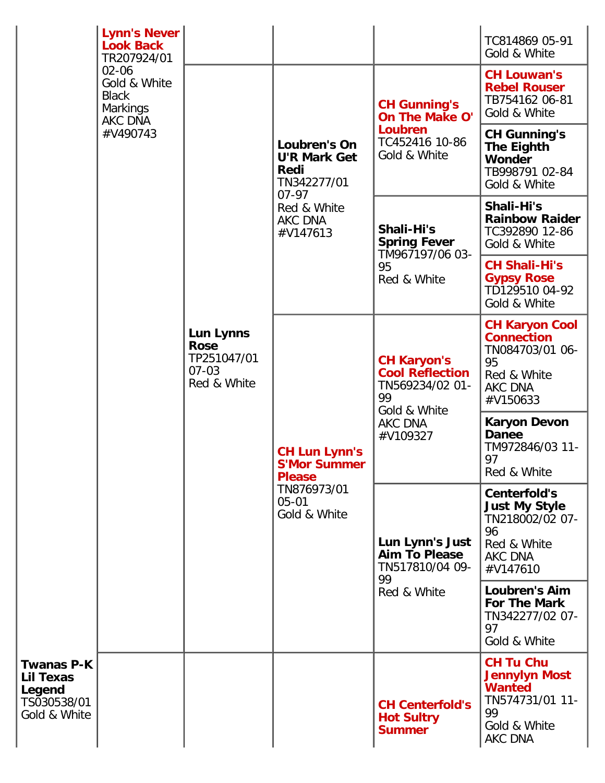|                                                                  | <b>Lynn's Never</b><br><b>Look Back</b>                                                            |                                                                     |                                                                                                                      |                                                                                                              | TC814869 05-91<br>Gold & White                                                                                       |
|------------------------------------------------------------------|----------------------------------------------------------------------------------------------------|---------------------------------------------------------------------|----------------------------------------------------------------------------------------------------------------------|--------------------------------------------------------------------------------------------------------------|----------------------------------------------------------------------------------------------------------------------|
|                                                                  | TR207924/01<br>$02 - 06$<br>Gold & White<br><b>Black</b><br><b>Markings</b><br>AKC DNA<br>#V490743 | Lun Lynns<br><b>Rose</b><br>TP251047/01<br>$07 - 03$<br>Red & White | Loubren's On<br><b>U'R Mark Get</b><br><b>Redi</b><br>TN342277/01<br>$07 - 97$<br>Red & White<br>AKC DNA<br>#V147613 | <b>CH Gunning's</b><br><b>On The Make O'</b><br>Loubren<br>TC452416 10-86<br>Gold & White                    | <b>CH Louwan's</b><br><b>Rebel Rouser</b><br>TB754162 06-81<br>Gold & White                                          |
|                                                                  |                                                                                                    |                                                                     |                                                                                                                      |                                                                                                              | <b>CH Gunning's</b><br><b>The Eighth</b><br><b>Wonder</b><br>TB998791 02-84<br>Gold & White                          |
|                                                                  |                                                                                                    |                                                                     |                                                                                                                      | Shali-Hi's<br><b>Spring Fever</b><br>TM967197/06 03-<br>95<br>Red & White                                    | Shali-Hi's<br><b>Rainbow Raider</b><br>TC392890 12-86<br>Gold & White                                                |
|                                                                  |                                                                                                    |                                                                     |                                                                                                                      |                                                                                                              | <b>CH Shali-Hi's</b><br><b>Gypsy Rose</b><br>TD129510 04-92<br>Gold & White                                          |
|                                                                  |                                                                                                    |                                                                     | <b>CH Lun Lynn's</b><br><b>S'Mor Summer</b><br><b>Please</b><br>TN876973/01<br>$05 - 01$<br>Gold & White             | <b>CH Karyon's</b><br><b>Cool Reflection</b><br>TN569234/02 01-<br>99<br>Gold & White<br>AKC DNA<br>#V109327 | <b>CH Karyon Cool</b><br><b>Connection</b><br>TN084703/01 06-<br>95<br>Red & White<br>AKC DNA<br>#V150633            |
|                                                                  |                                                                                                    |                                                                     |                                                                                                                      |                                                                                                              | <b>Karyon Devon</b><br><b>Danee</b><br>TM972846/03 11-<br>97<br>Red & White                                          |
|                                                                  |                                                                                                    |                                                                     |                                                                                                                      | Lun Lynn's Just<br>Aim To Please<br>TN517810/04 09-<br>99<br>Red & White                                     | <b>Centerfold's</b><br><b>Just My Style</b><br>TN218002/02 07-<br>96<br>Red & White<br>AKC DNA<br>#V147610           |
|                                                                  |                                                                                                    |                                                                     |                                                                                                                      |                                                                                                              | <b>Loubren's Aim</b><br>For The Mark<br>TN342277/02 07-<br>97<br>Gold & White                                        |
| Twanas P-K<br>Lil Texas<br>Legend<br>TS030538/01<br>Gold & White |                                                                                                    |                                                                     |                                                                                                                      | <b>CH Centerfold's</b><br><b>Hot Sultry</b><br><b>Summer</b>                                                 | <b>CH Tu Chu</b><br><b>Jennylyn Most</b><br><b>Wanted</b><br>TN574731/01 11-<br>99<br>Gold & White<br><b>AKC DNA</b> |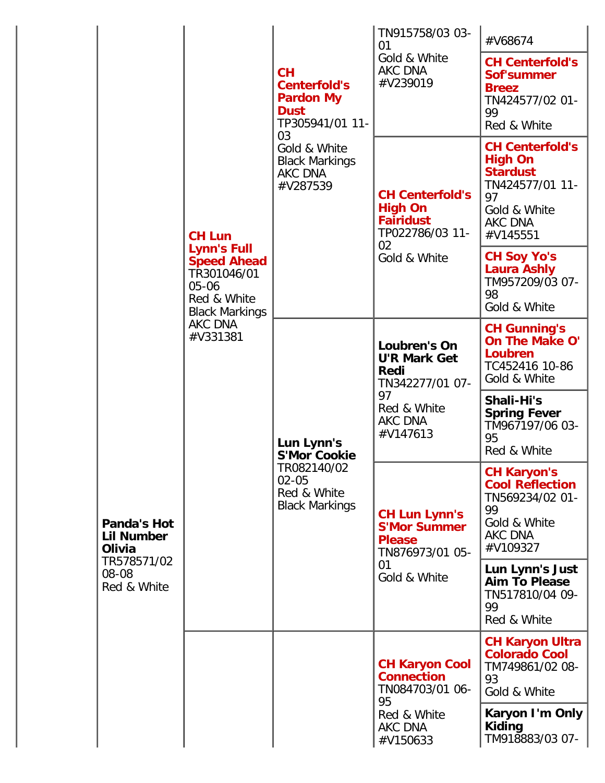|                                                                            |                                                                                                                                                  |                                                                                                                                                       | TN915758/03 03-<br>01                                                                                      | #V68674                                                                                                                            |
|----------------------------------------------------------------------------|--------------------------------------------------------------------------------------------------------------------------------------------------|-------------------------------------------------------------------------------------------------------------------------------------------------------|------------------------------------------------------------------------------------------------------------|------------------------------------------------------------------------------------------------------------------------------------|
| Panda's Hot<br>Lil Number<br>Olivia<br>TR578571/02<br>08-08<br>Red & White | <b>CH Lun</b><br><b>Lynn's Full</b><br><b>Speed Ahead</b><br>TR301046/01<br>05-06<br>Red & White<br><b>Black Markings</b><br>AKC DNA<br>#V331381 | CH<br><b>Centerfold's</b><br><b>Pardon My</b><br><b>Dust</b><br>TP305941/01 11-<br>03<br>Gold & White<br><b>Black Markings</b><br>AKC DNA<br>#V287539 | Gold & White<br>AKC DNA<br>#V239019                                                                        | <b>CH Centerfold's</b><br><b>Sof'summer</b><br><b>Breez</b><br>TN424577/02 01-<br>99<br>Red & White                                |
|                                                                            |                                                                                                                                                  |                                                                                                                                                       | <b>CH Centerfold's</b><br><b>High On</b><br><b>Fairidust</b><br>TP022786/03 11-<br>02<br>Gold & White      | <b>CH Centerfold's</b><br><b>High On</b><br><b>Stardust</b><br>TN424577/01 11-<br>97<br>Gold & White<br><b>AKC DNA</b><br>#V145551 |
|                                                                            |                                                                                                                                                  |                                                                                                                                                       |                                                                                                            | <b>CH Soy Yo's</b><br><b>Laura Ashly</b><br>TM957209/03 07-<br>98<br>Gold & White                                                  |
|                                                                            |                                                                                                                                                  | Lun Lynn's<br><b>S'Mor Cookie</b><br>TR082140/02<br>$02 - 05$<br>Red & White<br><b>Black Markings</b>                                                 | Loubren's On<br><b>U'R Mark Get</b><br>Redi<br>TN342277/01 07-<br>97<br>Red & White<br>AKC DNA<br>#V147613 | <b>CH Gunning's</b><br><b>On The Make O'</b><br>Loubren<br>TC452416 10-86<br>Gold & White                                          |
|                                                                            |                                                                                                                                                  |                                                                                                                                                       |                                                                                                            | Shali-Hi's<br><b>Spring Fever</b><br>TM967197/06 03-<br>95<br>Red & White                                                          |
|                                                                            |                                                                                                                                                  |                                                                                                                                                       | <b>CH Lun Lynn's</b><br><b>S'Mor Summer</b><br><b>Please</b><br>TN876973/01 05-<br>01<br>Gold & White      | <b>CH Karyon's</b><br><b>Cool Reflection</b><br>TN569234/02 01-<br>99<br>Gold & White<br>AKC DNA<br>#V109327                       |
|                                                                            |                                                                                                                                                  |                                                                                                                                                       |                                                                                                            | Lun Lynn's Just<br><b>Aim To Please</b><br>TN517810/04 09-<br>99<br>Red & White                                                    |
|                                                                            |                                                                                                                                                  |                                                                                                                                                       | <b>CH Karyon Cool</b><br><b>Connection</b><br>TN084703/01 06-<br>95                                        | <b>CH Karyon Ultra</b><br><b>Colorado Cool</b><br>TM749861/02 08-<br>93<br>Gold & White                                            |
|                                                                            |                                                                                                                                                  |                                                                                                                                                       | Red & White<br>AKC DNA<br>#V150633                                                                         | Karyon I'm Only<br>Kiding<br>TM918883/03 07-                                                                                       |